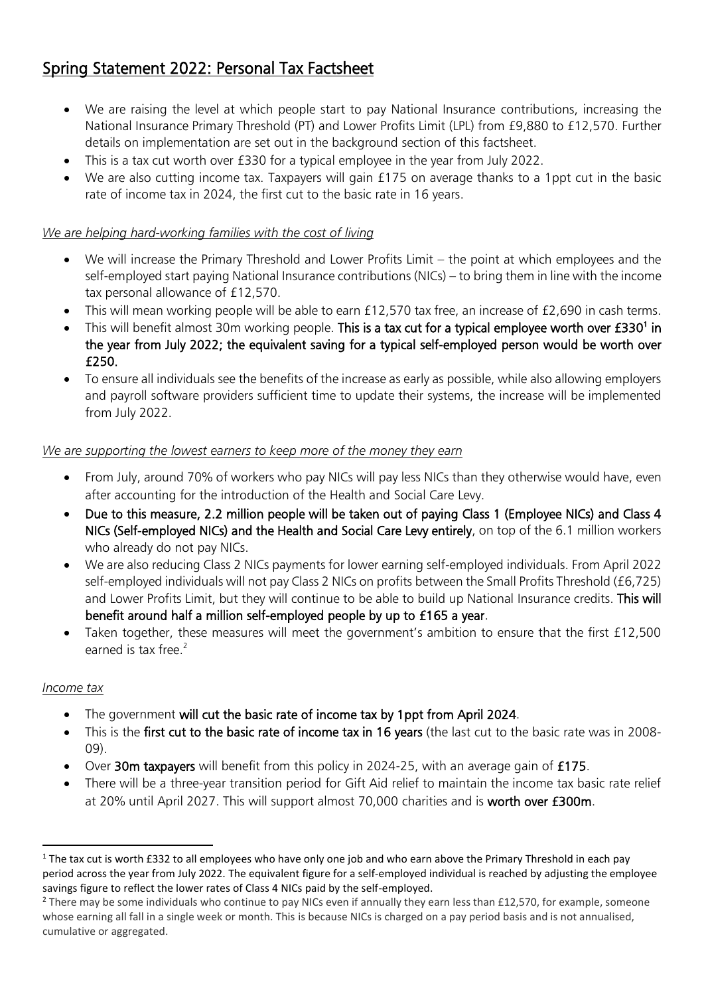# Spring Statement 2022: Personal Tax Factsheet

- We are raising the level at which people start to pay National Insurance contributions, increasing the National Insurance Primary Threshold (PT) and Lower Profits Limit (LPL) from £9,880 to £12,570. Further details on implementation are set out in the background section of this factsheet.
- This is a tax cut worth over £330 for a typical employee in the year from July 2022.
- We are also cutting income tax. Taxpayers will gain £175 on average thanks to a 1ppt cut in the basic rate of income tax in 2024, the first cut to the basic rate in 16 years.

# *We are helping hard-working families with the cost of living*

- We will increase the Primary Threshold and Lower Profits Limit the point at which employees and the self-employed start paying National Insurance contributions (NICs) – to bring them in line with the income tax personal allowance of £12,570.
- This will mean working people will be able to earn £12,570 tax free, an increase of £2,690 in cash terms.
- This will benefit almost 30m working people. This is a tax cut for a typical employee worth over £330<sup>1</sup> in the year from July 2022; the equivalent saving for a typical self-employed person would be worth over £250.
- To ensure all individuals see the benefits of the increase as early as possible, while also allowing employers and payroll software providers sufficient time to update their systems, the increase will be implemented from July 2022.

# *We are supporting the lowest earners to keep more of the money they earn*

- From July, around 70% of workers who pay NICs will pay less NICs than they otherwise would have, even after accounting for the introduction of the Health and Social Care Levy.
- Due to this measure, 2.2 million people will be taken out of paying Class 1 (Employee NICs) and Class 4 NICs (Self-employed NICs) and the Health and Social Care Levy entirely, on top of the 6.1 million workers who already do not pay NICs.
- We are also reducing Class 2 NICs payments for lower earning self-employed individuals. From April 2022 self-employed individuals will not pay Class 2 NICs on profits between the Small Profits Threshold (£6,725) and Lower Profits Limit, but they will continue to be able to build up National Insurance credits. This will benefit around half a million self-employed people by up to £165 a year.
- Taken together, these measures will meet the government's ambition to ensure that the first £12,500 earned is tax free.<sup>2</sup>

## *Income tax*

- The government will cut the basic rate of income tax by 1ppt from April 2024.
- This is the first cut to the basic rate of income tax in 16 years (the last cut to the basic rate was in 2008- 09).
- Over 30m taxpayers will benefit from this policy in 2024-25, with an average gain of £175.
- There will be a three-year transition period for Gift Aid relief to maintain the income tax basic rate relief at 20% until April 2027. This will support almost 70,000 charities and is worth over £300m.

 $1$  The tax cut is worth £332 to all employees who have only one job and who earn above the Primary Threshold in each pay period across the year from July 2022. The equivalent figure for a self-employed individual is reached by adjusting the employee savings figure to reflect the lower rates of Class 4 NICs paid by the self-employed.

<sup>&</sup>lt;sup>2</sup> There may be some individuals who continue to pay NICs even if annually they earn less than £12,570, for example, someone whose earning all fall in a single week or month. This is because NICs is charged on a pay period basis and is not annualised, cumulative or aggregated.